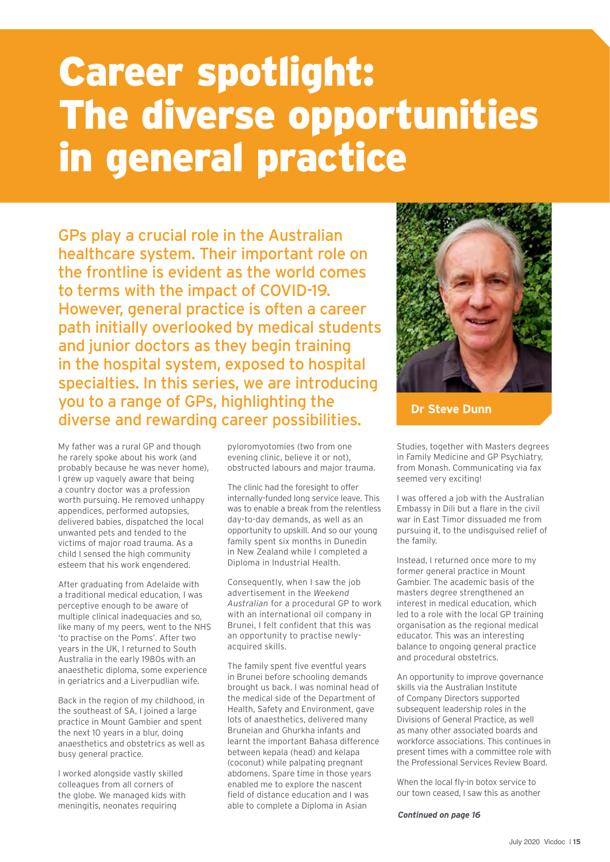## Career spotlight: The diverse opportunities in general practice

GPs play a crucial role in the Australian healthcare system. Their important role on the frontline is evident as the world comes to terms with the impact of COVID-19. However, general practice is often a career path initially overlooked by medical students and junior doctors as they begin training in the hospital system, exposed to hospital specialties. In this series, we are introducing you to a range of GPs, highlighting the diverse and rewarding career possibilities.

My father was a rural GP and though he rarely spoke about his work (and probably because he was never home), I grew up vaguely aware that being a country doctor was a profession worth pursuing. He removed unhappy appendices, performed autopsies, delivered babies, dispatched the local unwanted pets and tended to the victims of major road trauma. As a child I sensed the high community esteem that his work engendered.

After graduating from Adelaide with a traditional medical education, I was perceptive enough to be aware of multiple clinical inadequacies and so, like many of my peers, went to the NHS 'to practise on the Poms'. After two years in the UK, I returned to South Australia in the early 1980s with an anaesthetic diploma, some experience in geriatrics and a Liverpudlian wife.

Back in the region of my childhood, in the southeast of SA, I joined a large practice in Mount Gambier and spent the next 10 years in a blur, doing anaesthetics and obstetrics as well as busy general practice.

I worked alongside vastly skilled colleagues from all corners of the globe. We managed kids with meningitis, neonates requiring

pyloromyotomies (two from one evening clinic, believe it or not), obstructed labours and major trauma.

The clinic had the foresight to offer internally-funded long service leave. This was to enable a break from the relentless day-to-day demands, as well as an opportunity to upskill. And so our young family spent six months in Dunedin in New Zealand while I completed a Diploma in Industrial Health.

Consequently, when I saw the job advertisement in the *Weekend Australian* for a procedural GP to work with an international oil company in Brunei, I felt confident that this was an opportunity to practise newlyacquired skills.

The family spent five eventful years in Brunei before schooling demands brought us back. I was nominal head of the medical side of the Department of Health, Safety and Environment, gave lots of anaesthetics, delivered many Bruneian and Ghurkha infants and learnt the important Bahasa difference between kepala (head) and kelapa (coconut) while palpating pregnant abdomens. Spare time in those years enabled me to explore the nascent field of distance education and I was able to complete a Diploma in Asian



**Dr Steve Dunn**

Studies, together with Masters degrees in Family Medicine and GP Psychiatry, from Monash. Communicating via fax seemed very exciting!

I was offered a job with the Australian Embassy in Dili but a flare in the civil war in East Timor dissuaded me from pursuing it, to the undisguised relief of the family.

Instead, I returned once more to my former general practice in Mount Gambier. The academic basis of the masters degree strengthened an interest in medical education, which led to a role with the local GP training organisation as the regional medical educator. This was an interesting balance to ongoing general practice and procedural obstetrics.

An opportunity to improve governance skills via the Australian Institute of Company Directors supported subsequent leadership roles in the Divisions of General Practice, as well as many other associated boards and workforce associations. This continues in present times with a committee role with the Professional Services Review Board.

When the local fly-in botox service to our town ceased, I saw this as another

*Continued on page 16*